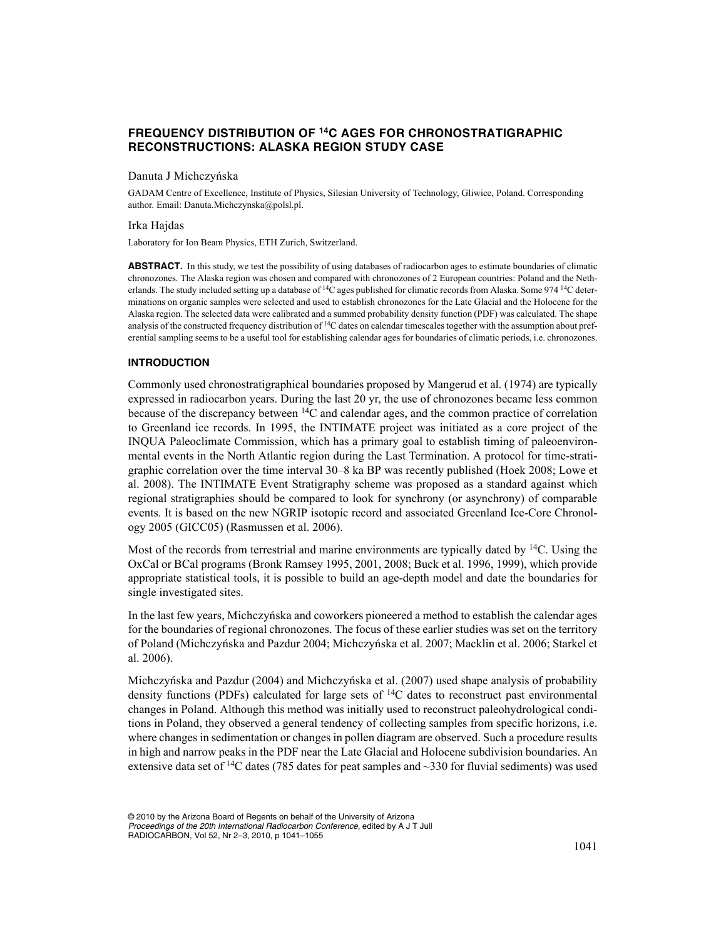# **FREQUENCY DISTRIBUTION OF 14C AGES FOR CHRONOSTRATIGRAPHIC RECONSTRUCTIONS: ALASKA REGION STUDY CASE**

# Danuta J Michczyńska

GADAM Centre of Excellence, Institute of Physics, Silesian University of Technology, Gliwice, Poland. Corresponding author. Email: Danuta.Michczynska@polsl.pl.

#### Irka Hajdas

Laboratory for Ion Beam Physics, ETH Zurich, Switzerland.

**ABSTRACT.** In this study, we test the possibility of using databases of radiocarbon ages to estimate boundaries of climatic chronozones. The Alaska region was chosen and compared with chronozones of 2 European countries: Poland and the Netherlands. The study included setting up a database of  ${}^{14}C$  ages published for climatic records from Alaska. Some 974  ${}^{14}C$  determinations on organic samples were selected and used to establish chronozones for the Late Glacial and the Holocene for the Alaska region. The selected data were calibrated and a summed probability density function (PDF) was calculated. The shape analysis of the constructed frequency distribution of <sup>14</sup>C dates on calendar timescales together with the assumption about preferential sampling seems to be a useful tool for establishing calendar ages for boundaries of climatic periods, i.e. chronozones.

#### **INTRODUCTION**

Commonly used chronostratigraphical boundaries proposed by Mangerud et al. (1974) are typically expressed in radiocarbon years. During the last 20 yr, the use of chronozones became less common because of the discrepancy between  $14C$  and calendar ages, and the common practice of correlation to Greenland ice records. In 1995, the INTIMATE project was initiated as a core project of the INQUA Paleoclimate Commission, which has a primary goal to establish timing of paleoenvironmental events in the North Atlantic region during the Last Termination. A protocol for time-stratigraphic correlation over the time interval 30–8 ka BP was recently published (Hoek 2008; Lowe et al. 2008). The INTIMATE Event Stratigraphy scheme was proposed as a standard against which regional stratigraphies should be compared to look for synchrony (or asynchrony) of comparable events. It is based on the new NGRIP isotopic record and associated Greenland Ice-Core Chronology 2005 (GICC05) (Rasmussen et al. 2006).

Most of the records from terrestrial and marine environments are typically dated by  $14C$ . Using the OxCal or BCal programs (Bronk Ramsey 1995, 2001, 2008; Buck et al. 1996, 1999), which provide appropriate statistical tools, it is possible to build an age-depth model and date the boundaries for single investigated sites.

In the last few years, Michczyńska and coworkers pioneered a method to establish the calendar ages for the boundaries of regional chronozones. The focus of these earlier studies was set on the territory of Poland (Michczyńska and Pazdur 2004; Michczyńska et al. 2007; Macklin et al. 2006; Starkel et al. 2006).

Michczyńska and Pazdur (2004) and Michczyńska et al. (2007) used shape analysis of probability density functions (PDFs) calculated for large sets of  $^{14}C$  dates to reconstruct past environmental changes in Poland. Although this method was initially used to reconstruct paleohydrological conditions in Poland, they observed a general tendency of collecting samples from specific horizons, i.e. where changes in sedimentation or changes in pollen diagram are observed. Such a procedure results in high and narrow peaks in the PDF near the Late Glacial and Holocene subdivision boundaries. An extensive data set of <sup>14</sup>C dates (785 dates for peat samples and  $\sim$ 330 for fluvial sediments) was used

<sup>© 2010</sup> by the Arizona Board of Regents on behalf of the University of Arizona *Proceedings of the 20th International Radiocarbon Conference,* edited by A J T Jull RADIOCARBON, Vol 52, Nr 2–3, 2010, p 1041–1055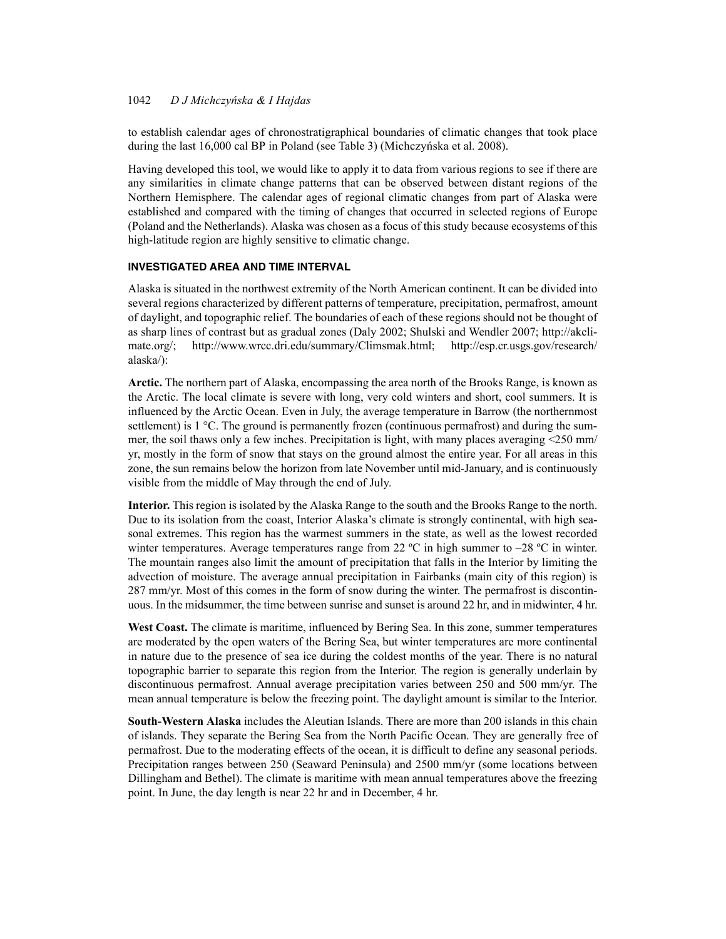# 1042 *D J MichczyÒska & I Hajdas*

to establish calendar ages of chronostratigraphical boundaries of climatic changes that took place during the last  $16,000$  cal BP in Poland (see Table 3) (Michczyńska et al. 2008).

Having developed this tool, we would like to apply it to data from various regions to see if there are any similarities in climate change patterns that can be observed between distant regions of the Northern Hemisphere. The calendar ages of regional climatic changes from part of Alaska were established and compared with the timing of changes that occurred in selected regions of Europe (Poland and the Netherlands). Alaska was chosen as a focus of this study because ecosystems of this high-latitude region are highly sensitive to climatic change.

# **INVESTIGATED AREA AND TIME INTERVAL**

Alaska is situated in the northwest extremity of the North American continent. It can be divided into several regions characterized by different patterns of temperature, precipitation, permafrost, amount of daylight, and topographic relief. The boundaries of each of these regions should not be thought of as sharp lines of contrast but as gradual zones (Daly 2002; Shulski and Wendler 2007; http://akclimate.org/; http://www.wrcc.dri.edu/summary/Climsmak.html; http://esp.cr.usgs.gov/research/ alaska/):

**Arctic.** The northern part of Alaska, encompassing the area north of the Brooks Range, is known as the Arctic. The local climate is severe with long, very cold winters and short, cool summers. It is influenced by the Arctic Ocean. Even in July, the average temperature in Barrow (the northernmost settlement) is  $1 \degree C$ . The ground is permanently frozen (continuous permafrost) and during the summer, the soil thaws only a few inches. Precipitation is light, with many places averaging <250 mm/ yr, mostly in the form of snow that stays on the ground almost the entire year. For all areas in this zone, the sun remains below the horizon from late November until mid-January, and is continuously visible from the middle of May through the end of July.

**Interior.** This region is isolated by the Alaska Range to the south and the Brooks Range to the north. Due to its isolation from the coast, Interior Alaska's climate is strongly continental, with high seasonal extremes. This region has the warmest summers in the state, as well as the lowest recorded winter temperatures. Average temperatures range from 22 °C in high summer to  $-28$  °C in winter. The mountain ranges also limit the amount of precipitation that falls in the Interior by limiting the advection of moisture. The average annual precipitation in Fairbanks (main city of this region) is 287 mm/yr. Most of this comes in the form of snow during the winter. The permafrost is discontinuous. In the midsummer, the time between sunrise and sunset is around 22 hr, and in midwinter, 4 hr.

**West Coast.** The climate is maritime, influenced by Bering Sea. In this zone, summer temperatures are moderated by the open waters of the Bering Sea, but winter temperatures are more continental in nature due to the presence of sea ice during the coldest months of the year. There is no natural topographic barrier to separate this region from the Interior. The region is generally underlain by discontinuous permafrost. Annual average precipitation varies between 250 and 500 mm/yr. The mean annual temperature is below the freezing point. The daylight amount is similar to the Interior.

**South-Western Alaska** includes the Aleutian Islands. There are more than 200 islands in this chain of islands. They separate the Bering Sea from the North Pacific Ocean. They are generally free of permafrost. Due to the moderating effects of the ocean, it is difficult to define any seasonal periods. Precipitation ranges between 250 (Seaward Peninsula) and 2500 mm/yr (some locations between Dillingham and Bethel). The climate is maritime with mean annual temperatures above the freezing point. In June, the day length is near 22 hr and in December, 4 hr.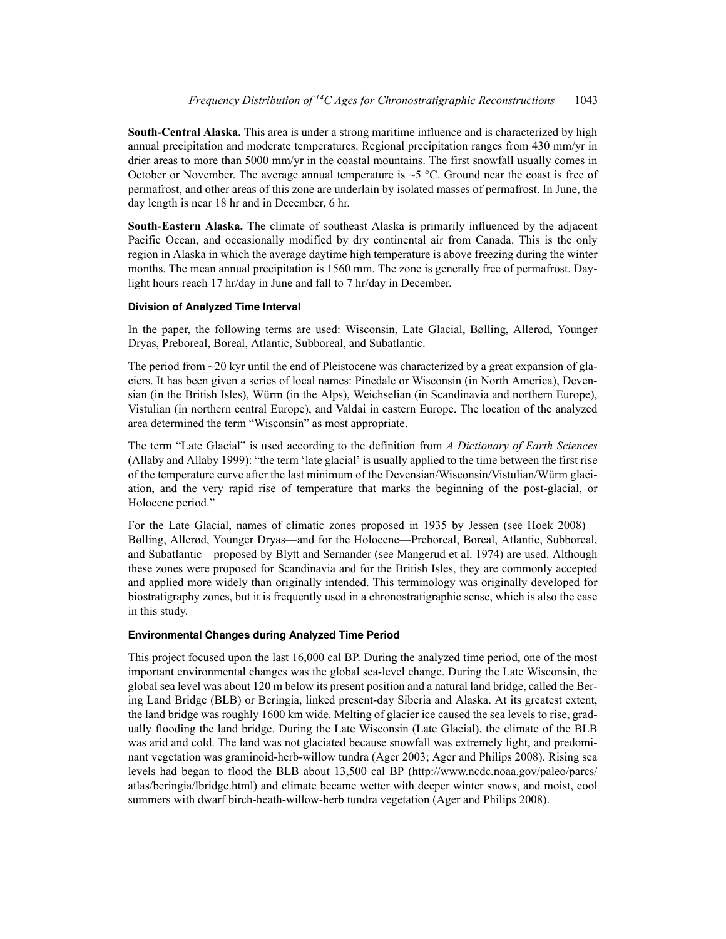**South-Central Alaska.** This area is under a strong maritime influence and is characterized by high annual precipitation and moderate temperatures. Regional precipitation ranges from 430 mm/yr in drier areas to more than 5000 mm/yr in the coastal mountains. The first snowfall usually comes in October or November. The average annual temperature is  $\sim$  5 °C. Ground near the coast is free of permafrost, and other areas of this zone are underlain by isolated masses of permafrost. In June, the day length is near 18 hr and in December, 6 hr.

**South-Eastern Alaska.** The climate of southeast Alaska is primarily influenced by the adjacent Pacific Ocean, and occasionally modified by dry continental air from Canada. This is the only region in Alaska in which the average daytime high temperature is above freezing during the winter months. The mean annual precipitation is 1560 mm. The zone is generally free of permafrost. Daylight hours reach 17 hr/day in June and fall to 7 hr/day in December.

### **Division of Analyzed Time Interval**

In the paper, the following terms are used: Wisconsin, Late Glacial, Bølling, Allerød, Younger Dryas, Preboreal, Boreal, Atlantic, Subboreal, and Subatlantic.

The period from  $\sim$ 20 kyr until the end of Pleistocene was characterized by a great expansion of glaciers. It has been given a series of local names: Pinedale or Wisconsin (in North America), Devensian (in the British Isles), Würm (in the Alps), Weichselian (in Scandinavia and northern Europe), Vistulian (in northern central Europe), and Valdai in eastern Europe. The location of the analyzed area determined the term "Wisconsin" as most appropriate.

The term "Late Glacial" is used according to the definition from *A Dictionary of Earth Sciences* (Allaby and Allaby 1999): "the term 'late glacial' is usually applied to the time between the first rise of the temperature curve after the last minimum of the Devensian/Wisconsin/Vistulian/Würm glaciation, and the very rapid rise of temperature that marks the beginning of the post-glacial, or Holocene period."

For the Late Glacial, names of climatic zones proposed in 1935 by Jessen (see Hoek 2008)— Bølling, Allerød, Younger Dryas—and for the Holocene—Preboreal, Boreal, Atlantic, Subboreal, and Subatlantic—proposed by Blytt and Sernander (see Mangerud et al. 1974) are used. Although these zones were proposed for Scandinavia and for the British Isles, they are commonly accepted and applied more widely than originally intended. This terminology was originally developed for biostratigraphy zones, but it is frequently used in a chronostratigraphic sense, which is also the case in this study.

### **Environmental Changes during Analyzed Time Period**

This project focused upon the last 16,000 cal BP. During the analyzed time period, one of the most important environmental changes was the global sea-level change. During the Late Wisconsin, the global sea level was about 120 m below its present position and a natural land bridge, called the Bering Land Bridge (BLB) or Beringia, linked present-day Siberia and Alaska. At its greatest extent, the land bridge was roughly 1600 km wide. Melting of glacier ice caused the sea levels to rise, gradually flooding the land bridge. During the Late Wisconsin (Late Glacial), the climate of the BLB was arid and cold. The land was not glaciated because snowfall was extremely light, and predominant vegetation was graminoid-herb-willow tundra (Ager 2003; Ager and Philips 2008). Rising sea levels had began to flood the BLB about 13,500 cal BP (http://www.ncdc.noaa.gov/paleo/parcs/ atlas/beringia/lbridge.html) and climate became wetter with deeper winter snows, and moist, cool summers with dwarf birch-heath-willow-herb tundra vegetation (Ager and Philips 2008).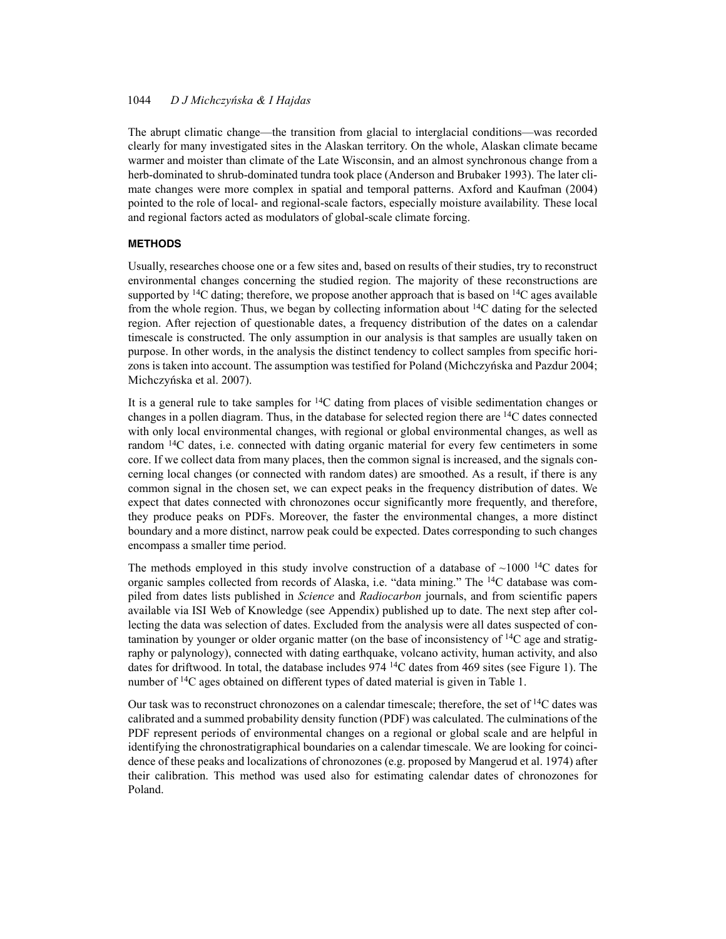# 1044 *D J MichczyÒska & I Hajdas*

The abrupt climatic change—the transition from glacial to interglacial conditions—was recorded clearly for many investigated sites in the Alaskan territory. On the whole, Alaskan climate became warmer and moister than climate of the Late Wisconsin, and an almost synchronous change from a herb-dominated to shrub-dominated tundra took place (Anderson and Brubaker 1993). The later climate changes were more complex in spatial and temporal patterns. Axford and Kaufman (2004) pointed to the role of local- and regional-scale factors, especially moisture availability. These local and regional factors acted as modulators of global-scale climate forcing.

### **METHODS**

Usually, researches choose one or a few sites and, based on results of their studies, try to reconstruct environmental changes concerning the studied region. The majority of these reconstructions are supported by <sup>14</sup>C dating; therefore, we propose another approach that is based on <sup>14</sup>C ages available from the whole region. Thus, we began by collecting information about  $^{14}$ C dating for the selected region. After rejection of questionable dates, a frequency distribution of the dates on a calendar timescale is constructed. The only assumption in our analysis is that samples are usually taken on purpose. In other words, in the analysis the distinct tendency to collect samples from specific horizons is taken into account. The assumption was testified for Poland (Michczyńska and Pazdur 2004; Michczyńska et al. 2007).

It is a general rule to take samples for  ${}^{14}C$  dating from places of visible sedimentation changes or changes in a pollen diagram. Thus, in the database for selected region there are 14C dates connected with only local environmental changes, with regional or global environmental changes, as well as random  $14C$  dates, i.e. connected with dating organic material for every few centimeters in some core. If we collect data from many places, then the common signal is increased, and the signals concerning local changes (or connected with random dates) are smoothed. As a result, if there is any common signal in the chosen set, we can expect peaks in the frequency distribution of dates. We expect that dates connected with chronozones occur significantly more frequently, and therefore, they produce peaks on PDFs. Moreover, the faster the environmental changes, a more distinct boundary and a more distinct, narrow peak could be expected. Dates corresponding to such changes encompass a smaller time period.

The methods employed in this study involve construction of a database of  $\sim$ 1000 <sup>14</sup>C dates for organic samples collected from records of Alaska, i.e. "data mining." The 14C database was compiled from dates lists published in *Science* and *Radiocarbon* journals, and from scientific papers available via ISI Web of Knowledge (see Appendix) published up to date. The next step after collecting the data was selection of dates. Excluded from the analysis were all dates suspected of contamination by younger or older organic matter (on the base of inconsistency of  $^{14}C$  age and stratigraphy or palynology), connected with dating earthquake, volcano activity, human activity, and also dates for driftwood. In total, the database includes  $974 \text{ }^{14}$ C dates from 469 sites (see Figure 1). The number of <sup>14</sup>C ages obtained on different types of dated material is given in Table 1.

Our task was to reconstruct chronozones on a calendar timescale; therefore, the set of <sup>14</sup>C dates was calibrated and a summed probability density function (PDF) was calculated. The culminations of the PDF represent periods of environmental changes on a regional or global scale and are helpful in identifying the chronostratigraphical boundaries on a calendar timescale. We are looking for coincidence of these peaks and localizations of chronozones (e.g. proposed by Mangerud et al. 1974) after their calibration. This method was used also for estimating calendar dates of chronozones for Poland.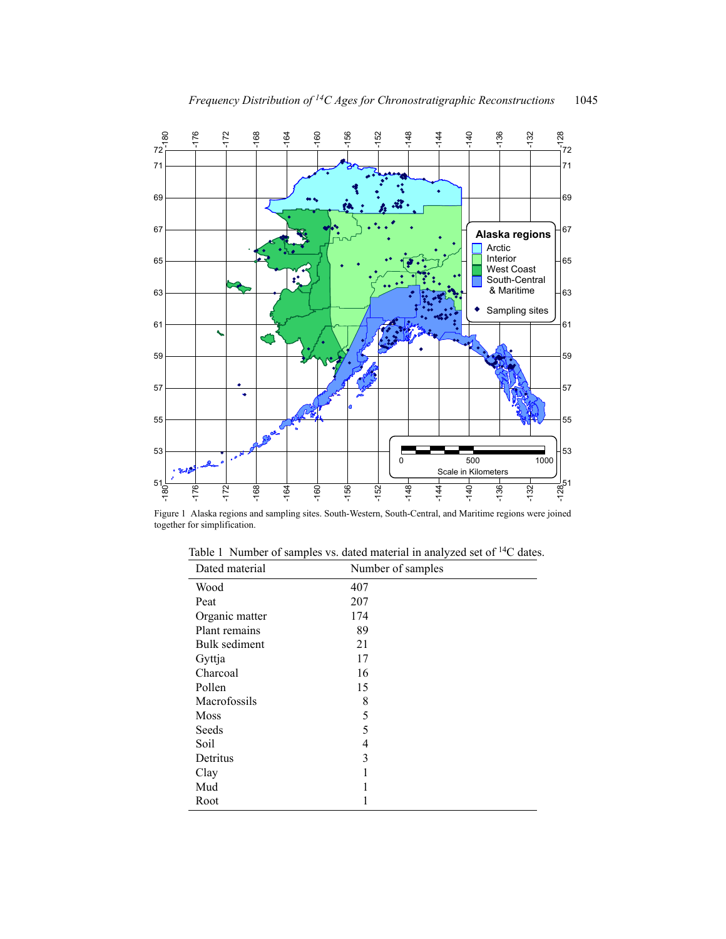

Figure 1 Alaska regions and sampling sites. South-Western, South-Central, and Maritime regions were joined together for simplification.

| Dated material | Number of samples |
|----------------|-------------------|
| Wood           | 407               |
| Peat           | 207               |
| Organic matter | 174               |
| Plant remains  | 89                |
| Bulk sediment  | 21                |
| Gyttja         | 17                |
| Charcoal       | 16                |
| Pollen         | 15                |
| Macrofossils   | 8                 |
| <b>Moss</b>    | 5                 |
| Seeds          | 5                 |
| Soil           | 4                 |
| Detritus       | 3                 |
| Clay           |                   |
| Mud            |                   |
| Root           |                   |

Table 1 Number of samples vs. dated material in analyzed set of 14C dates.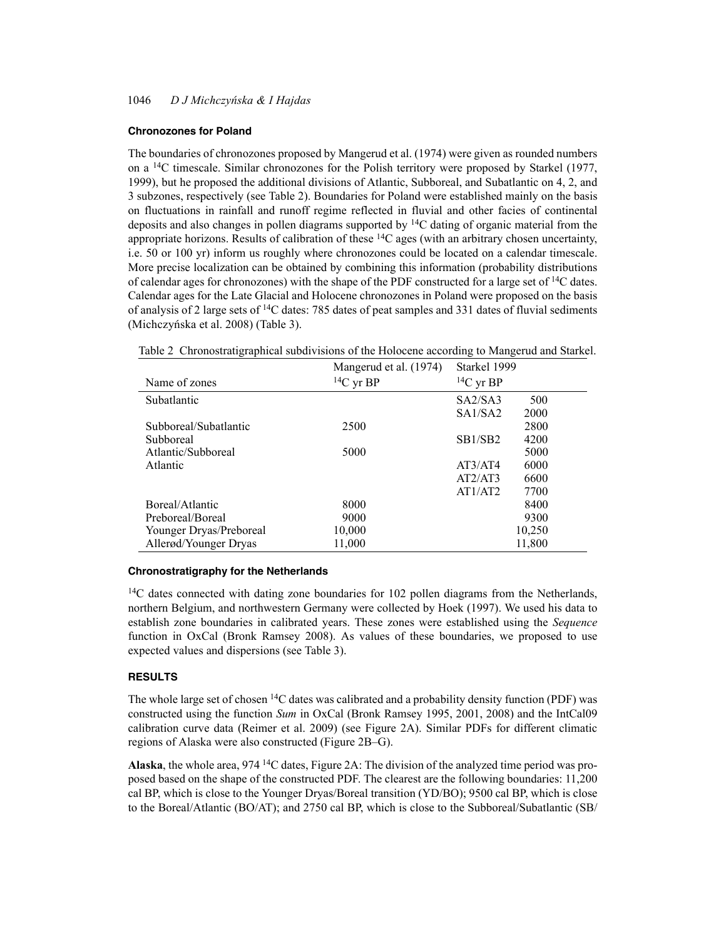#### **Chronozones for Poland**

The boundaries of chronozones proposed by Mangerud et al. (1974) were given as rounded numbers on a 14C timescale. Similar chronozones for the Polish territory were proposed by Starkel (1977, 1999), but he proposed the additional divisions of Atlantic, Subboreal, and Subatlantic on 4, 2, and 3 subzones, respectively (see Table 2). Boundaries for Poland were established mainly on the basis on fluctuations in rainfall and runoff regime reflected in fluvial and other facies of continental deposits and also changes in pollen diagrams supported by 14C dating of organic material from the appropriate horizons. Results of calibration of these  ${}^{14}C$  ages (with an arbitrary chosen uncertainty, i.e. 50 or 100 yr) inform us roughly where chronozones could be located on a calendar timescale. More precise localization can be obtained by combining this information (probability distributions of calendar ages for chronozones) with the shape of the PDF constructed for a large set of  $^{14}C$  dates. Calendar ages for the Late Glacial and Holocene chronozones in Poland were proposed on the basis of analysis of 2 large sets of  $^{14}$ C dates: 785 dates of peat samples and 331 dates of fluvial sediments (Michczyńska et al. 2008) (Table 3).

|                         | Mangerud et al. (1974) | Starkel 1999                              |  |
|-------------------------|------------------------|-------------------------------------------|--|
| Name of zones           | $14C$ yr BP            | ${}^{14}C$ yr BP                          |  |
| Subatlantic             |                        | SA2/SA3<br>500                            |  |
|                         |                        | SA1/SA2<br>2000                           |  |
| Subboreal/Subatlantic   | 2500                   | 2800                                      |  |
| <b>Subboreal</b>        |                        | SB <sub>1</sub> /S <sub>B</sub> 2<br>4200 |  |
| Atlantic/Subboreal      | 5000                   | 5000                                      |  |
| Atlantic                |                        | 6000<br>AT3/AT4                           |  |
|                         |                        | AT2/AT3<br>6600                           |  |
|                         |                        | AT1/AT2<br>7700                           |  |
| Boreal/Atlantic         | 8000                   | 8400                                      |  |
| Preboreal/Boreal        | 9000                   | 9300                                      |  |
| Younger Dryas/Preboreal | 10,000                 | 10,250                                    |  |
| Allerød/Younger Dryas   | 11,000                 | 11,800                                    |  |

Table 2 Chronostratigraphical subdivisions of the Holocene according to Mangerud and Starkel.

#### **Chronostratigraphy for the Netherlands**

 $14C$  dates connected with dating zone boundaries for 102 pollen diagrams from the Netherlands, northern Belgium, and northwestern Germany were collected by Hoek (1997). We used his data to establish zone boundaries in calibrated years. These zones were established using the *Sequence* function in OxCal (Bronk Ramsey 2008). As values of these boundaries, we proposed to use expected values and dispersions (see Table 3).

# **RESULTS**

The whole large set of chosen <sup>14</sup>C dates was calibrated and a probability density function (PDF) was constructed using the function *Sum* in OxCal (Bronk Ramsey 1995, 2001, 2008) and the IntCal09 calibration curve data (Reimer et al. 2009) (see Figure 2A). Similar PDFs for different climatic regions of Alaska were also constructed (Figure 2B–G).

**Alaska**, the whole area, 974 14C dates, Figure 2A: The division of the analyzed time period was proposed based on the shape of the constructed PDF. The clearest are the following boundaries: 11,200 cal BP, which is close to the Younger Dryas/Boreal transition (YD/BO); 9500 cal BP, which is close to the Boreal/Atlantic (BO/AT); and 2750 cal BP, which is close to the Subboreal/Subatlantic (SB/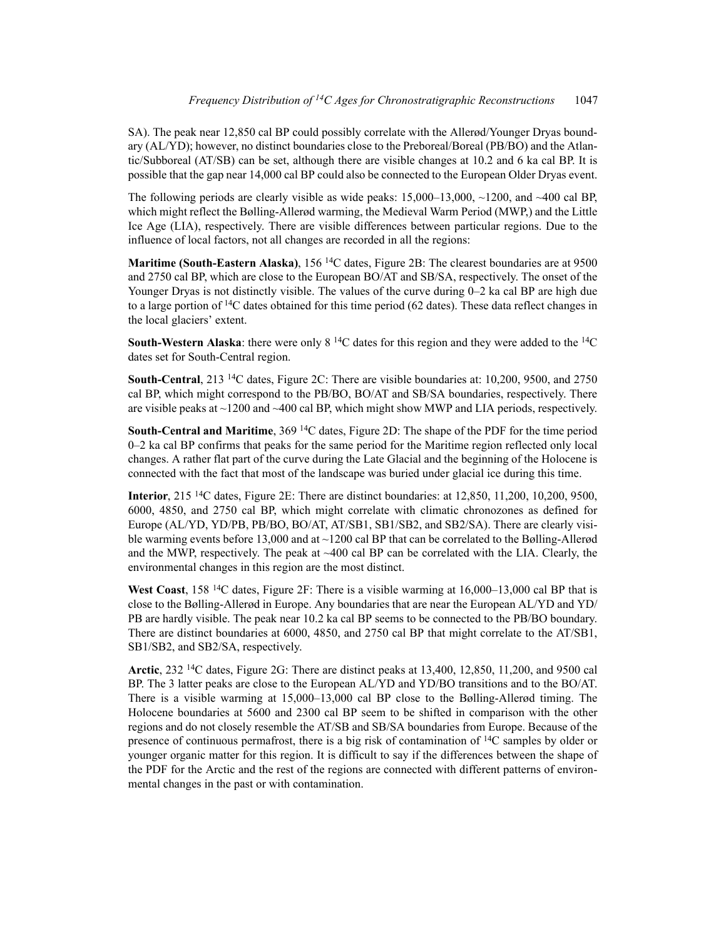SA). The peak near 12,850 cal BP could possibly correlate with the Allerød/Younger Dryas boundary (AL/YD); however, no distinct boundaries close to the Preboreal/Boreal (PB/BO) and the Atlantic/Subboreal (AT/SB) can be set, although there are visible changes at 10.2 and 6 ka cal BP. It is possible that the gap near 14,000 cal BP could also be connected to the European Older Dryas event.

The following periods are clearly visible as wide peaks:  $15,000-13,000$ ,  $\sim$ 1200, and  $\sim$ 400 cal BP, which might reflect the Bølling-Allerød warming, the Medieval Warm Period (MWP,) and the Little Ice Age (LIA), respectively. There are visible differences between particular regions. Due to the influence of local factors, not all changes are recorded in all the regions:

**Maritime (South-Eastern Alaska)**, 156 14C dates, Figure 2B: The clearest boundaries are at 9500 and 2750 cal BP, which are close to the European BO/AT and SB/SA, respectively. The onset of the Younger Dryas is not distinctly visible. The values of the curve during 0–2 ka cal BP are high due to a large portion of  $14C$  dates obtained for this time period (62 dates). These data reflect changes in the local glaciers' extent.

**South-Western Alaska**: there were only 8<sup>14</sup>C dates for this region and they were added to the <sup>14</sup>C dates set for South-Central region.

**South-Central**, 213 14C dates, Figure 2C: There are visible boundaries at: 10,200, 9500, and 2750 cal BP, which might correspond to the PB/BO, BO/AT and SB/SA boundaries, respectively. There are visible peaks at ~1200 and ~400 cal BP, which might show MWP and LIA periods, respectively.

**South-Central and Maritime**, 369 14C dates, Figure 2D: The shape of the PDF for the time period 0–2 ka cal BP confirms that peaks for the same period for the Maritime region reflected only local changes. A rather flat part of the curve during the Late Glacial and the beginning of the Holocene is connected with the fact that most of the landscape was buried under glacial ice during this time.

**Interior**, 215 14C dates, Figure 2E: There are distinct boundaries: at 12,850, 11,200, 10,200, 9500, 6000, 4850, and 2750 cal BP, which might correlate with climatic chronozones as defined for Europe (AL/YD, YD/PB, PB/BO, BO/AT, AT/SB1, SB1/SB2, and SB2/SA). There are clearly visible warming events before 13,000 and at ~1200 cal BP that can be correlated to the Bølling-Allerød and the MWP, respectively. The peak at  $\sim$ 400 cal BP can be correlated with the LIA. Clearly, the environmental changes in this region are the most distinct.

**West Coast**, 158 14C dates, Figure 2F: There is a visible warming at 16,000–13,000 cal BP that is close to the Bølling-Allerød in Europe. Any boundaries that are near the European AL/YD and YD/ PB are hardly visible. The peak near 10.2 ka cal BP seems to be connected to the PB/BO boundary. There are distinct boundaries at 6000, 4850, and 2750 cal BP that might correlate to the AT/SB1, SB1/SB2, and SB2/SA, respectively.

**Arctic**, 232 14C dates, Figure 2G: There are distinct peaks at 13,400, 12,850, 11,200, and 9500 cal BP. The 3 latter peaks are close to the European AL/YD and YD/BO transitions and to the BO/AT. There is a visible warming at 15,000–13,000 cal BP close to the Bølling-Allerød timing. The Holocene boundaries at 5600 and 2300 cal BP seem to be shifted in comparison with the other regions and do not closely resemble the AT/SB and SB/SA boundaries from Europe. Because of the presence of continuous permafrost, there is a big risk of contamination of 14C samples by older or younger organic matter for this region. It is difficult to say if the differences between the shape of the PDF for the Arctic and the rest of the regions are connected with different patterns of environmental changes in the past or with contamination.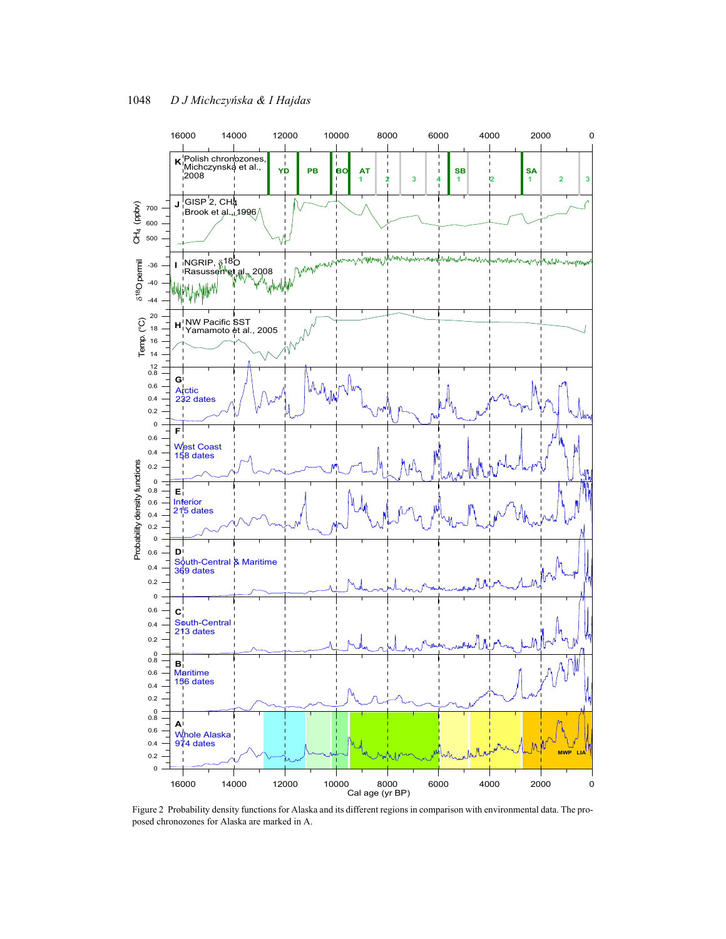

Figure 2 Probability density functions for Alaska and its different regions in comparison with environmental data. The proposed chronozones for Alaska are marked in A.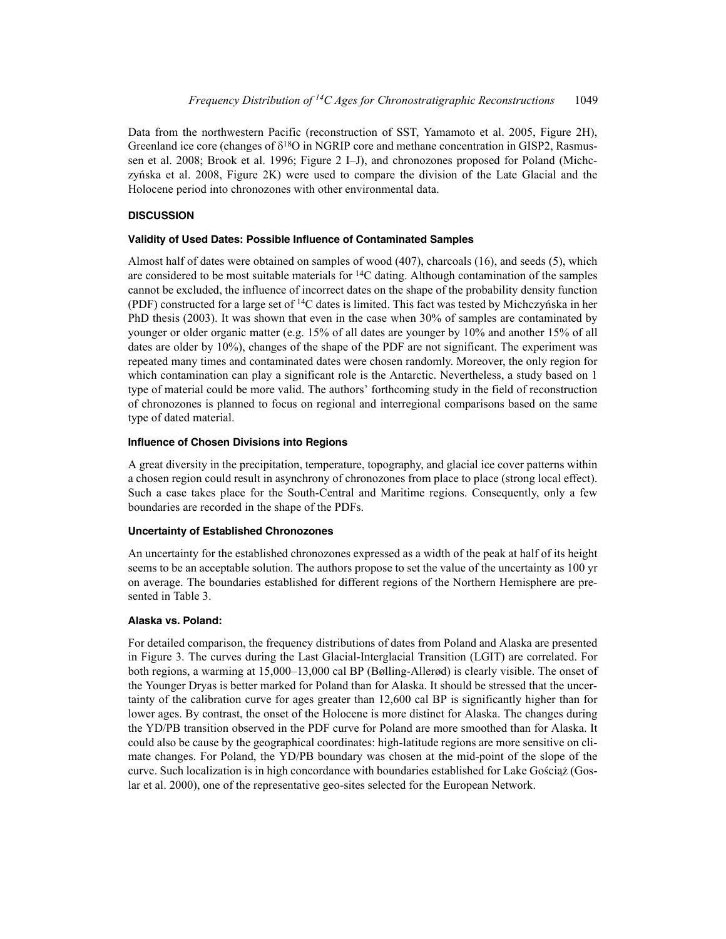Data from the northwestern Pacific (reconstruction of SST, Yamamoto et al. 2005, Figure 2H), Greenland ice core (changes of  $\delta^{18}O$  in NGRIP core and methane concentration in GISP2, Rasmussen et al. 2008; Brook et al. 1996; Figure 2 I–J), and chronozones proposed for Poland (Michczyńska et al. 2008, Figure 2K) were used to compare the division of the Late Glacial and the Holocene period into chronozones with other environmental data.

# **DISCUSSION**

### **Validity of Used Dates: Possible Influence of Contaminated Samples**

Almost half of dates were obtained on samples of wood (407), charcoals (16), and seeds (5), which are considered to be most suitable materials for  ${}^{14}C$  dating. Although contamination of the samples cannot be excluded, the influence of incorrect dates on the shape of the probability density function (PDF) constructed for a large set of  ${}^{14}C$  dates is limited. This fact was tested by Michczyńska in her PhD thesis (2003). It was shown that even in the case when 30% of samples are contaminated by younger or older organic matter (e.g. 15% of all dates are younger by 10% and another 15% of all dates are older by 10%), changes of the shape of the PDF are not significant. The experiment was repeated many times and contaminated dates were chosen randomly. Moreover, the only region for which contamination can play a significant role is the Antarctic. Nevertheless, a study based on 1 type of material could be more valid. The authors' forthcoming study in the field of reconstruction of chronozones is planned to focus on regional and interregional comparisons based on the same type of dated material.

# **Influence of Chosen Divisions into Regions**

A great diversity in the precipitation, temperature, topography, and glacial ice cover patterns within a chosen region could result in asynchrony of chronozones from place to place (strong local effect). Such a case takes place for the South-Central and Maritime regions. Consequently, only a few boundaries are recorded in the shape of the PDFs.

# **Uncertainty of Established Chronozones**

An uncertainty for the established chronozones expressed as a width of the peak at half of its height seems to be an acceptable solution. The authors propose to set the value of the uncertainty as 100 yr on average. The boundaries established for different regions of the Northern Hemisphere are presented in Table 3.

# **Alaska vs. Poland:**

For detailed comparison, the frequency distributions of dates from Poland and Alaska are presented in Figure 3. The curves during the Last Glacial-Interglacial Transition (LGIT) are correlated. For both regions, a warming at 15,000–13,000 cal BP (Bølling-Allerød) is clearly visible. The onset of the Younger Dryas is better marked for Poland than for Alaska. It should be stressed that the uncertainty of the calibration curve for ages greater than 12,600 cal BP is significantly higher than for lower ages. By contrast, the onset of the Holocene is more distinct for Alaska. The changes during the YD/PB transition observed in the PDF curve for Poland are more smoothed than for Alaska. It could also be cause by the geographical coordinates: high-latitude regions are more sensitive on climate changes. For Poland, the YD/PB boundary was chosen at the mid-point of the slope of the curve. Such localization is in high concordance with boundaries established for Lake Gościaż (Goslar et al. 2000), one of the representative geo-sites selected for the European Network.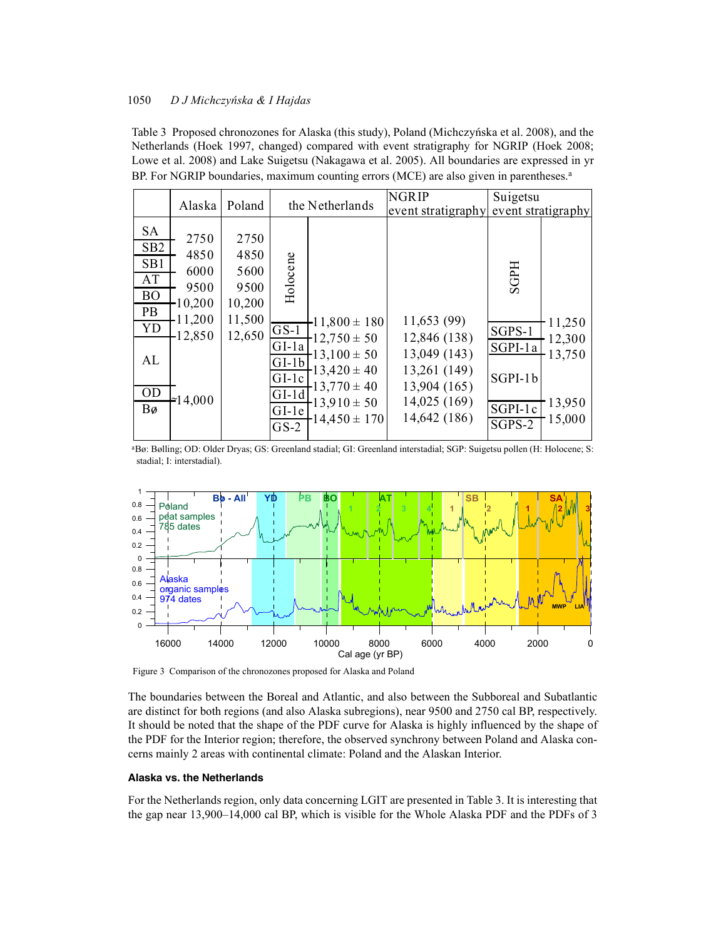## 1050 *D J MichczyÒska & I Hajdas*

Table 3 Proposed chronozones for Alaska (this study), Poland (Michczyńska et al. 2008), and the Netherlands (Hoek 1997, changed) compared with event stratigraphy for NGRIP (Hoek 2008; Lowe et al. 2008) and Lake Suigetsu (Nakagawa et al. 2005). All boundaries are expressed in yr BP. For NGRIP boundaries, maximum counting errors (MCE) are also given in parentheses.<sup>a</sup>

|                                                                                             | Alaska                                                                        | Poland                                                     |                                                                                                | the Netherlands                                                                                                                           | NGRIP<br>event stratigraphy                                                                                 | Suigetsu<br>event stratigraphy                                                         |                                                |
|---------------------------------------------------------------------------------------------|-------------------------------------------------------------------------------|------------------------------------------------------------|------------------------------------------------------------------------------------------------|-------------------------------------------------------------------------------------------------------------------------------------------|-------------------------------------------------------------------------------------------------------------|----------------------------------------------------------------------------------------|------------------------------------------------|
| <b>SA</b><br>SB <sub>2</sub><br>SB1<br>AT<br><b>BO</b><br>PB<br>YD<br>AL<br><b>OD</b><br>Bø | 2750<br>4850<br>6000<br>9500<br>$-10,200$<br>11,200<br>$-12,850$<br>$=14,000$ | 2750<br>4850<br>5600<br>9500<br>10,200<br>11,500<br>12,650 | Holocene<br>$GS-1$<br>$GI-1a$<br>$GI-Ib$<br>$GI-1c$<br>$GI-1d$<br>$GI-1e$<br>$\overline{GS-2}$ | $-11,800 \pm 180$<br>$-12,750 \pm 50$<br>$-13,100 \pm 50$<br>$-13,420 \pm 40$<br>$13,770 \pm 40$<br>$-13.910 \pm 50$<br>$-14,450 \pm 170$ | 11,653 (99)<br>12,846 (138)<br>13,049 (143)<br>13,261 (149)<br>13,904 (165)<br>14,025 (169)<br>14,642 (186) | <b>SGPH</b><br>SGPS-1<br>SGPI-1a<br>$SGPI-1b$<br>SGPI-1c<br>$\overline{\text{SGPS-2}}$ | 11,250<br>12,300<br>13,750<br>13,950<br>15,000 |

aBø: Bølling; OD: Older Dryas; GS: Greenland stadial; GI: Greenland interstadial; SGP: Suigetsu pollen (H: Holocene; S: stadial; I: interstadial).



Figure 3 Comparison of the chronozones proposed for Alaska and Poland

The boundaries between the Boreal and Atlantic, and also between the Subboreal and Subatlantic are distinct for both regions (and also Alaska subregions), near 9500 and 2750 cal BP, respectively. It should be noted that the shape of the PDF curve for Alaska is highly influenced by the shape of the PDF for the Interior region; therefore, the observed synchrony between Poland and Alaska concerns mainly 2 areas with continental climate: Poland and the Alaskan Interior.

#### **Alaska vs. the Netherlands**

For the Netherlands region, only data concerning LGIT are presented in Table 3. It is interesting that the gap near 13,900–14,000 cal BP, which is visible for the Whole Alaska PDF and the PDFs of 3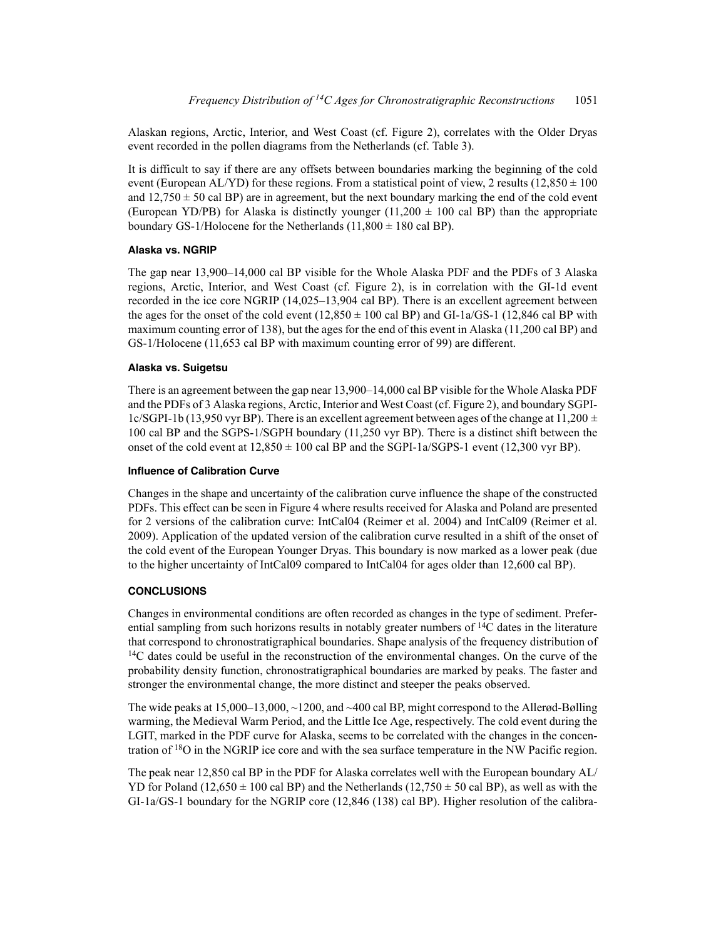Alaskan regions, Arctic, Interior, and West Coast (cf. Figure 2), correlates with the Older Dryas event recorded in the pollen diagrams from the Netherlands (cf. Table 3).

It is difficult to say if there are any offsets between boundaries marking the beginning of the cold event (European AL/YD) for these regions. From a statistical point of view, 2 results  $(12,850 \pm 100$ and  $12,750 \pm 50$  cal BP) are in agreement, but the next boundary marking the end of the cold event (European YD/PB) for Alaska is distinctly younger (11,200  $\pm$  100 cal BP) than the appropriate boundary GS-1/Holocene for the Netherlands  $(11,800 \pm 180 \text{ cal BP})$ .

### **Alaska vs. NGRIP**

The gap near 13,900–14,000 cal BP visible for the Whole Alaska PDF and the PDFs of 3 Alaska regions, Arctic, Interior, and West Coast (cf. Figure 2), is in correlation with the GI-1d event recorded in the ice core NGRIP (14,025–13,904 cal BP). There is an excellent agreement between the ages for the onset of the cold event  $(12,850 \pm 100 \text{ cal BP})$  and  $GI-1a/GS-1$   $(12,846 \text{ cal BP with}$ maximum counting error of 138), but the ages for the end of this event in Alaska (11,200 cal BP) and GS-1/Holocene (11,653 cal BP with maximum counting error of 99) are different.

#### **Alaska vs. Suigetsu**

There is an agreement between the gap near 13,900–14,000 cal BP visible for the Whole Alaska PDF and the PDFs of 3 Alaska regions, Arctic, Interior and West Coast (cf. Figure 2), and boundary SGPI-1c/SGPI-1b (13,950 vyr BP). There is an excellent agreement between ages of the change at 11,200  $\pm$ 100 cal BP and the SGPS-1/SGPH boundary (11,250 vyr BP). There is a distinct shift between the onset of the cold event at  $12,850 \pm 100$  cal BP and the SGPI-1a/SGPS-1 event (12,300 vyr BP).

#### **Influence of Calibration Curve**

Changes in the shape and uncertainty of the calibration curve influence the shape of the constructed PDFs. This effect can be seen in Figure 4 where results received for Alaska and Poland are presented for 2 versions of the calibration curve: IntCal04 (Reimer et al. 2004) and IntCal09 (Reimer et al. 2009). Application of the updated version of the calibration curve resulted in a shift of the onset of the cold event of the European Younger Dryas. This boundary is now marked as a lower peak (due to the higher uncertainty of IntCal09 compared to IntCal04 for ages older than 12,600 cal BP).

### **CONCLUSIONS**

Changes in environmental conditions are often recorded as changes in the type of sediment. Preferential sampling from such horizons results in notably greater numbers of  $14C$  dates in the literature that correspond to chronostratigraphical boundaries. Shape analysis of the frequency distribution of <sup>14</sup>C dates could be useful in the reconstruction of the environmental changes. On the curve of the probability density function, chronostratigraphical boundaries are marked by peaks. The faster and stronger the environmental change, the more distinct and steeper the peaks observed.

The wide peaks at  $15,000-13,000, \sim 1200$ , and  $\sim 400$  cal BP, might correspond to the Allerød-Bølling warming, the Medieval Warm Period, and the Little Ice Age, respectively. The cold event during the LGIT, marked in the PDF curve for Alaska, seems to be correlated with the changes in the concentration of 18O in the NGRIP ice core and with the sea surface temperature in the NW Pacific region.

The peak near 12,850 cal BP in the PDF for Alaska correlates well with the European boundary AL/ YD for Poland (12,650  $\pm$  100 cal BP) and the Netherlands (12,750  $\pm$  50 cal BP), as well as with the GI-1a/GS-1 boundary for the NGRIP core (12,846 (138) cal BP). Higher resolution of the calibra-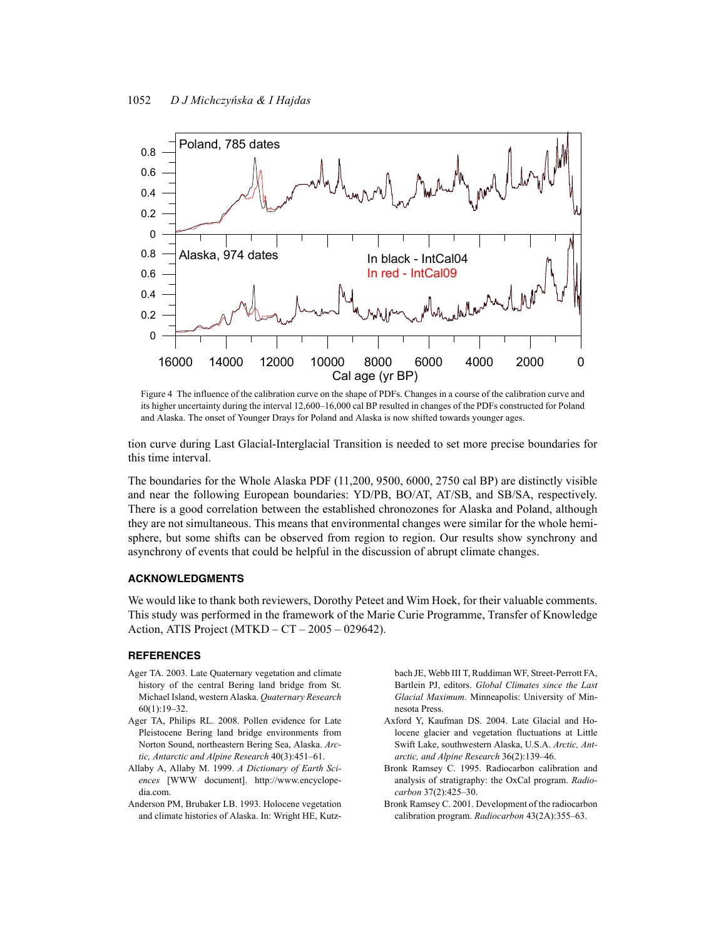

Figure 4 The influence of the calibration curve on the shape of PDFs. Changes in a course of the calibration curve and its higher uncertainty during the interval 12,600–16,000 cal BP resulted in changes of the PDFs constructed for Poland and Alaska. The onset of Younger Drays for Poland and Alaska is now shifted towards younger ages.

tion curve during Last Glacial-Interglacial Transition is needed to set more precise boundaries for this time interval.

The boundaries for the Whole Alaska PDF (11,200, 9500, 6000, 2750 cal BP) are distinctly visible and near the following European boundaries: YD/PB, BO/AT, AT/SB, and SB/SA, respectively. There is a good correlation between the established chronozones for Alaska and Poland, although they are not simultaneous. This means that environmental changes were similar for the whole hemisphere, but some shifts can be observed from region to region. Our results show synchrony and asynchrony of events that could be helpful in the discussion of abrupt climate changes.

#### **ACKNOWLEDGMENTS**

We would like to thank both reviewers, Dorothy Peteet and Wim Hoek, for their valuable comments. This study was performed in the framework of the Marie Curie Programme, Transfer of Knowledge Action, ATIS Project (MTKD – CT – 2005 – 029642).

#### **REFERENCES**

- Ager TA. 2003. Late Quaternary vegetation and climate history of the central Bering land bridge from St. Michael Island, western Alaska. *Quaternary Research* 60(1):19–32.
- Ager TA, Philips RL. 2008. Pollen evidence for Late Pleistocene Bering land bridge environments from Norton Sound, northeastern Bering Sea, Alaska. *Arctic, Antarctic and Alpine Research* 40(3):451–61.
- Allaby A, Allaby M. 1999. *A Dictionary of Earth Sciences* [WWW document]. http://www.encyclopedia.com.
- Anderson PM, Brubaker LB. 1993. Holocene vegetation and climate histories of Alaska. In: Wright HE, Kutz-

bach JE, Webb III T, Ruddiman WF, Street-Perrott FA, Bartlein PJ, editors. *Global Climates since the Last Glacial Maximum*. Minneapolis: University of Minnesota Press.

- Axford Y, Kaufman DS. 2004. Late Glacial and Holocene glacier and vegetation fluctuations at Little Swift Lake, southwestern Alaska, U.S.A. *Arctic, Antarctic, and Alpine Research* 36(2):139–46.
- Bronk Ramsey C. 1995. Radiocarbon calibration and analysis of stratigraphy: the OxCal program. *Radiocarbon* 37(2):425–30.
- Bronk Ramsey C. 2001. Development of the radiocarbon calibration program. *Radiocarbon* 43(2A):355–63.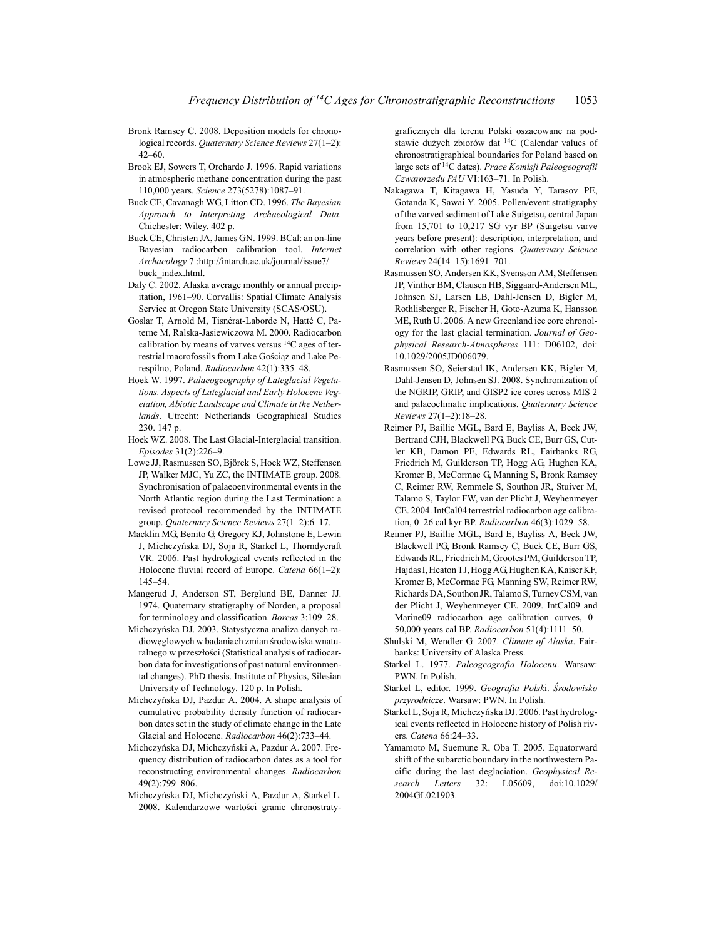- Bronk Ramsey C. 2008. Deposition models for chronological records. *Quaternary Science Reviews* 27(1–2): 42–60.
- Brook EJ, Sowers T, Orchardo J. 1996. Rapid variations in atmospheric methane concentration during the past 110,000 years. *Science* 273(5278):1087–91.
- Buck CE, Cavanagh WG, Litton CD. 1996. *The Bayesian Approach to Interpreting Archaeological Data*. Chichester: Wiley. 402 p.
- Buck CE, Christen JA, James GN. 1999. BCal: an on-line Bayesian radiocarbon calibration tool. *Internet Archaeology* 7 :http://intarch.ac.uk/journal/issue7/ buck\_index.html.
- Daly C. 2002. Alaska average monthly or annual precipitation, 1961–90. Corvallis: Spatial Climate Analysis Service at Oregon State University (SCAS/OSU).
- Goslar T, Arnold M, Tisnérat-Laborde N, Hatté C, Paterne M, Ralska-Jasiewiczowa M. 2000. Radiocarbon calibration by means of varves versus 14C ages of terrestrial macrofossils from Lake Gościąż and Lake Perespilno, Poland. *Radiocarbon* 42(1):335–48.
- Hoek W. 1997. *Palaeogeography of Lateglacial Vegetations. Aspects of Lateglacial and Early Holocene Vegetation, Abiotic Landscape and Climate in the Netherlands*. Utrecht: Netherlands Geographical Studies 230. 147 p.
- Hoek WZ. 2008. The Last Glacial-Interglacial transition. *Episodes* 31(2):226–9.
- Lowe JJ, Rasmussen SO, Björck S, Hoek WZ, Steffensen JP, Walker MJC, Yu ZC, the INTIMATE group. 2008. Synchronisation of palaeoenvironmental events in the North Atlantic region during the Last Termination: a revised protocol recommended by the INTIMATE group. *Quaternary Science Reviews* 27(1–2):6–17.
- Macklin MG, Benito G, Gregory KJ, Johnstone E, Lewin J, Michczyńska DJ, Soja R, Starkel L, Thorndycraft VR. 2006. Past hydrological events reflected in the Holocene fluvial record of Europe. *Catena* 66(1–2): 145–54.
- Mangerud J, Anderson ST, Berglund BE, Danner JJ. 1974. Quaternary stratigraphy of Norden, a proposal for terminology and classification. *Boreas* 3:109–28.
- Michczyńska DJ. 2003. Statystyczna analiza danych radiowęglowych w badaniach zmian środowiska wnaturalnego w przeszłości (Statistical analysis of radiocarbon data for investigations of past natural environmental changes). PhD thesis. Institute of Physics, Silesian University of Technology. 120 p. In Polish.
- Michczyńska DJ, Pazdur A. 2004. A shape analysis of cumulative probability density function of radiocarbon dates set in the study of climate change in the Late Glacial and Holocene. *Radiocarbon* 46(2):733–44.
- Michczyńska DJ, Michczyński A, Pazdur A. 2007. Frequency distribution of radiocarbon dates as a tool for reconstructing environmental changes. *Radiocarbon* 49(2):799–806.
- Michczyńska DJ, Michczyński A, Pazdur A, Starkel L. 2008. Kalendarzowe wartości granic chronostraty-

graficznych dla terenu Polski oszacowane na podstawie dużych zbiorów dat <sup>14</sup>C (Calendar values of chronostratigraphical boundaries for Poland based on large sets of 14C dates). *Prace Komisji Paleogeografii Czwarorzedu PAU* VI:163–71. In Polish.

- Nakagawa T, Kitagawa H, Yasuda Y, Tarasov PE, Gotanda K, Sawai Y. 2005. Pollen/event stratigraphy of the varved sediment of Lake Suigetsu, central Japan from 15,701 to 10,217 SG vyr BP (Suigetsu varve years before present): description, interpretation, and correlation with other regions. *Quaternary Science Reviews* 24(14–15):1691–701.
- Rasmussen SO, Andersen KK, Svensson AM, Steffensen JP, Vinther BM, Clausen HB, Siggaard-Andersen ML, Johnsen SJ, Larsen LB, Dahl-Jensen D, Bigler M, Rothlisberger R, Fischer H, Goto-Azuma K, Hansson ME, Ruth U. 2006. A new Greenland ice core chronology for the last glacial termination. *Journal of Geophysical Research-Atmospheres* 111: D06102, doi: 10.1029/2005JD006079.
- Rasmussen SO, Seierstad IK, Andersen KK, Bigler M, Dahl-Jensen D, Johnsen SJ. 2008. Synchronization of the NGRIP, GRIP, and GISP2 ice cores across MIS 2 and palaeoclimatic implications. *Quaternary Science Reviews* 27(1–2):18–28.
- Reimer PJ, Baillie MGL, Bard E, Bayliss A, Beck JW, Bertrand CJH, Blackwell PG, Buck CE, Burr GS, Cutler KB, Damon PE, Edwards RL, Fairbanks RG, Friedrich M, Guilderson TP, Hogg AG, Hughen KA, Kromer B, McCormac G, Manning S, Bronk Ramsey C, Reimer RW, Remmele S, Southon JR, Stuiver M, Talamo S, Taylor FW, van der Plicht J, Weyhenmeyer CE. 2004. IntCal04 terrestrial radiocarbon age calibration, 0–26 cal kyr BP. *Radiocarbon* 46(3):1029–58.
- Reimer PJ, Baillie MGL, Bard E, Bayliss A, Beck JW, Blackwell PG, Bronk Ramsey C, Buck CE, Burr GS, Edwards RL, Friedrich M, Grootes PM, Guilderson TP, Hajdas I, Heaton TJ, Hogg AG, Hughen KA, Kaiser KF, Kromer B, McCormac FG, Manning SW, Reimer RW, Richards DA, Southon JR, Talamo S, Turney CSM, van der Plicht J, Weyhenmeyer CE. 2009. IntCal09 and Marine09 radiocarbon age calibration curves, 0– 50,000 years cal BP. *Radiocarbon* 51(4):1111–50.
- Shulski M, Wendler G. 2007. *Climate of Alaska*. Fairbanks: University of Alaska Press.
- Starkel L. 1977. *Paleogeografia Holocenu*. Warsaw: PWN. In Polish.
- Starkel L, editor. 1999. *Geografia Polsk*i. *årodowisko przyrodnicze*. Warsaw: PWN. In Polish.
- Starkel L, Soja R, Michczyńska DJ. 2006. Past hydrological events reflected in Holocene history of Polish rivers. *Catena* 66:24–33.
- Yamamoto M, Suemune R, Oba T. 2005. Equatorward shift of the subarctic boundary in the northwestern Pacific during the last deglaciation. *Geophysical Research Letters* 32: L05609, doi:10.1029/ 2004GL021903.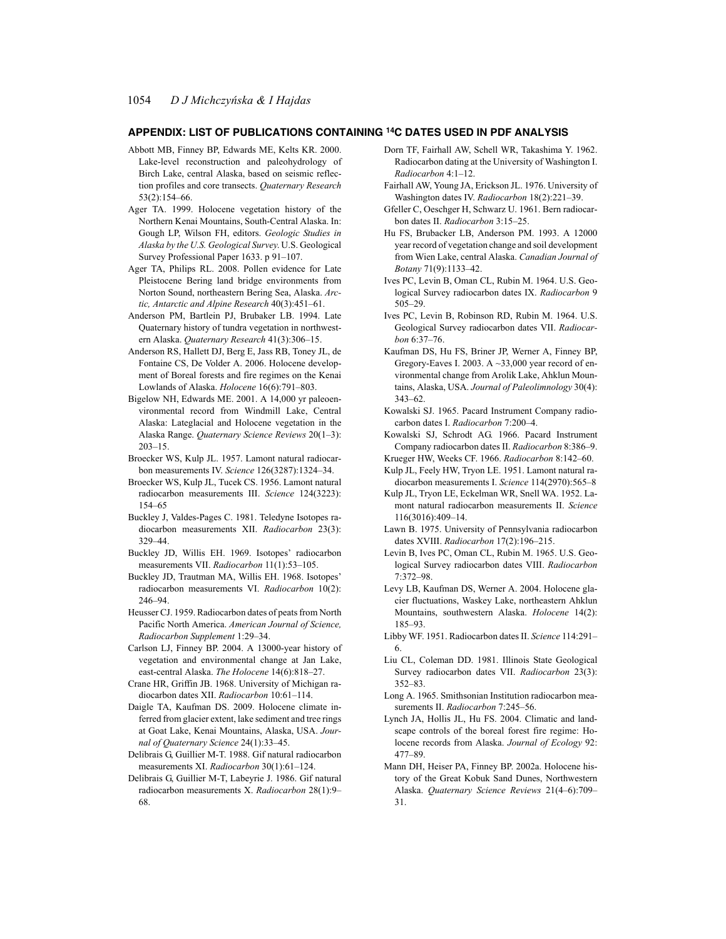#### **APPENDIX: LIST OF PUBLICATIONS CONTAINING 14C DATES USED IN PDF ANALYSIS**

- Abbott MB, Finney BP, Edwards ME, Kelts KR. 2000. Lake-level reconstruction and paleohydrology of Birch Lake, central Alaska, based on seismic reflection profiles and core transects. *Quaternary Research* 53(2):154–66.
- Ager TA. 1999. Holocene vegetation history of the Northern Kenai Mountains, South-Central Alaska. In: Gough LP, Wilson FH, editors. *Geologic Studies in Alaska by the U.S. Geological Survey*. U.S. Geological Survey Professional Paper 1633. p 91–107.
- Ager TA, Philips RL. 2008. Pollen evidence for Late Pleistocene Bering land bridge environments from Norton Sound, northeastern Bering Sea, Alaska. *Arctic, Antarctic and Alpine Research* 40(3):451–61.
- Anderson PM, Bartlein PJ, Brubaker LB. 1994. Late Quaternary history of tundra vegetation in northwestern Alaska. *Quaternary Research* 41(3):306–15.
- Anderson RS, Hallett DJ, Berg E, Jass RB, Toney JL, de Fontaine CS, De Volder A. 2006. Holocene development of Boreal forests and fire regimes on the Kenai Lowlands of Alaska. *Holocene* 16(6):791–803.
- Bigelow NH, Edwards ME. 2001. A 14,000 yr paleoenvironmental record from Windmill Lake, Central Alaska: Lateglacial and Holocene vegetation in the Alaska Range. *Quaternary Science Reviews* 20(1–3): 203–15.
- Broecker WS, Kulp JL. 1957. Lamont natural radiocarbon measurements IV. *Science* 126(3287):1324–34.
- Broecker WS, Kulp JL, Tucek CS. 1956. Lamont natural radiocarbon measurements III. *Science* 124(3223): 154–65
- Buckley J, Valdes-Pages C. 1981. Teledyne Isotopes radiocarbon measurements XII. *Radiocarbon* 23(3): 329–44.
- Buckley JD, Willis EH. 1969. Isotopes' radiocarbon measurements VII. *Radiocarbon* 11(1):53–105.
- Buckley JD, Trautman MA, Willis EH. 1968. Isotopes' radiocarbon measurements VI. *Radiocarbon* 10(2): 246–94.
- Heusser CJ. 1959. Radiocarbon dates of peats from North Pacific North America. *American Journal of Science, Radiocarbon Supplement* 1:29–34.
- Carlson LJ, Finney BP. 2004. A 13000-year history of vegetation and environmental change at Jan Lake, east-central Alaska. *The Holocene* 14(6):818–27.
- Crane HR, Griffin JB. 1968. University of Michigan radiocarbon dates XII. *Radiocarbon* 10:61–114.
- Daigle TA, Kaufman DS. 2009. Holocene climate inferred from glacier extent, lake sediment and tree rings at Goat Lake, Kenai Mountains, Alaska, USA. *Journal of Quaternary Science* 24(1):33–45.
- Delibrais G, Guillier M-T. 1988. Gif natural radiocarbon measurements XI. *Radiocarbon* 30(1):61–124.
- Delibrais G, Guillier M-T, Labeyrie J. 1986. Gif natural radiocarbon measurements X. *Radiocarbon* 28(1):9– 68.
- Dorn TF, Fairhall AW, Schell WR, Takashima Y. 1962. Radiocarbon dating at the University of Washington I. *Radiocarbon* 4:1–12.
- Fairhall AW, Young JA, Erickson JL. 1976. University of Washington dates IV. *Radiocarbon* 18(2):221–39.
- Gfeller C, Oeschger H, Schwarz U. 1961. Bern radiocarbon dates II. *Radiocarbon* 3:15–25.
- Hu FS, Brubacker LB, Anderson PM. 1993. A 12000 year record of vegetation change and soil development from Wien Lake, central Alaska. *Canadian Journal of Botany* 71(9):1133–42.
- Ives PC, Levin B, Oman CL, Rubin M. 1964. U.S. Geological Survey radiocarbon dates IX. *Radiocarbon* 9 505–29.
- Ives PC, Levin B, Robinson RD, Rubin M. 1964. U.S. Geological Survey radiocarbon dates VII. *Radiocarbon* 6:37–76.
- Kaufman DS, Hu FS, Briner JP, Werner A, Finney BP, Gregory-Eaves I. 2003. A  $\sim$ 33,000 year record of environmental change from Arolik Lake, Ahklun Mountains, Alaska, USA. *Journal of Paleolimnology* 30(4): 343–62.
- Kowalski SJ. 1965. Pacard Instrument Company radiocarbon dates I. *Radiocarbon* 7:200–4.
- Kowalski SJ, Schrodt AG. 1966. Pacard Instrument Company radiocarbon dates II. *Radiocarbon* 8:386–9. Krueger HW, Weeks CF. 1966. *Radiocarbon* 8:142–60.
- Kulp JL, Feely HW, Tryon LE. 1951. Lamont natural radiocarbon measurements I. *Science* 114(2970):565–8
- Kulp JL, Tryon LE, Eckelman WR, Snell WA. 1952. Lamont natural radiocarbon measurements II. *Science* 116(3016):409–14.
- Lawn B. 1975. University of Pennsylvania radiocarbon dates XVIII. *Radiocarbon* 17(2):196–215.
- Levin B, Ives PC, Oman CL, Rubin M. 1965. U.S. Geological Survey radiocarbon dates VIII. *Radiocarbon* 7:372–98.
- Levy LB, Kaufman DS, Werner A. 2004. Holocene glacier fluctuations, Waskey Lake, northeastern Ahklun Mountains, southwestern Alaska. *Holocene* 14(2): 185–93.
- Libby WF. 1951. Radiocarbon dates II. *Science* 114:291– 6.
- Liu CL, Coleman DD. 1981. Illinois State Geological Survey radiocarbon dates VII. *Radiocarbon* 23(3): 352–83.
- Long A. 1965. Smithsonian Institution radiocarbon measurements II. *Radiocarbon* 7:245–56.
- Lynch JA, Hollis JL, Hu FS. 2004. Climatic and landscape controls of the boreal forest fire regime: Holocene records from Alaska. *Journal of Ecology* 92: 477–89.
- Mann DH, Heiser PA, Finney BP. 2002a. Holocene history of the Great Kobuk Sand Dunes, Northwestern Alaska. *Quaternary Science Reviews* 21(4–6):709– 31.